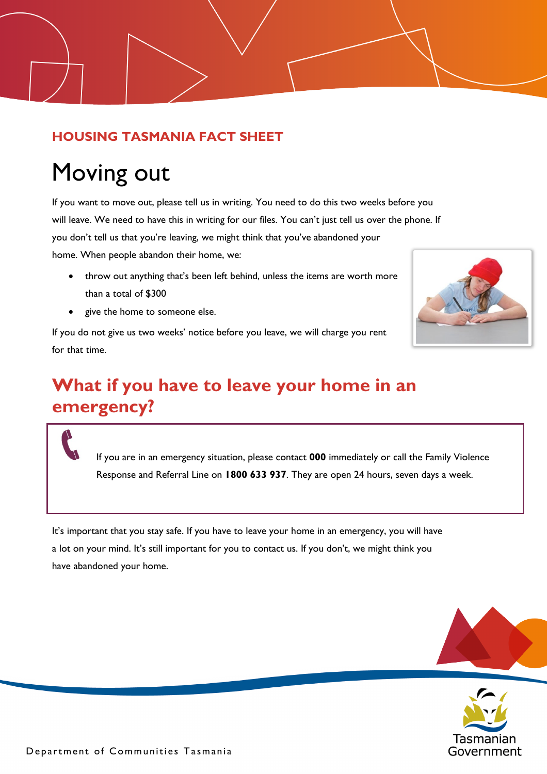#### **HOUSING TASMANIA FACT SHEET**

# Moving out

If you want to move out, please tell us in writing. You need to do this two weeks before you will leave. We need to have this in writing for our files. You can't just tell us over the phone. If you don't tell us that you're leaving, we might think that you've abandoned your home. When people abandon their home, we:

- throw out anything that's been left behind, unless the items are worth more than a total of \$300
- give the home to someone else.

If you do not give us two weeks' notice before you leave, we will charge you rent for that time.



# **What if you have to leave your home in an emergency?**

If you are in an emergency situation, please contact **000** immediately or call the Family Violence Response and Referral Line on **1800 633 937**. They are open 24 hours, seven days a week.

It's important that you stay safe. If you have to leave your home in an emergency, you will have a lot on your mind. It's still important for you to contact us. If you don't, we might think you have abandoned your home.



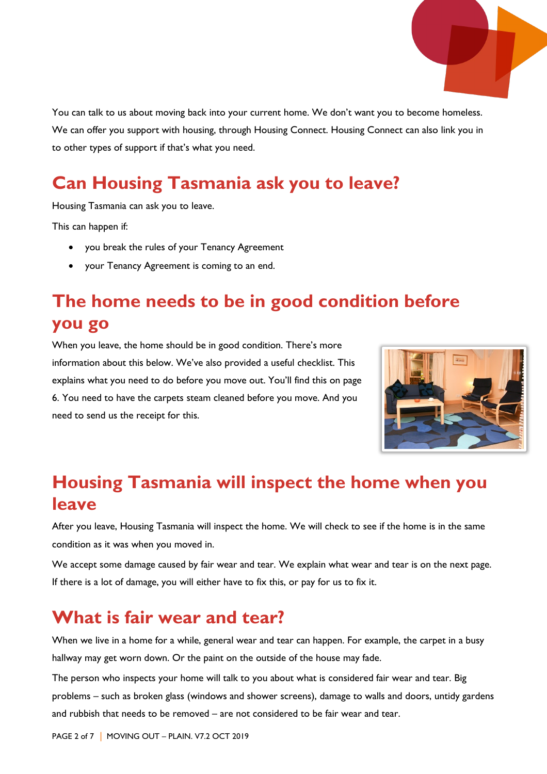

You can talk to us about moving back into your current home. We don't want you to become homeless. We can offer you support with housing, through Housing Connect. Housing Connect can also link you in to other types of support if that's what you need.

# **Can Housing Tasmania ask you to leave?**

Housing Tasmania can ask you to leave.

This can happen if:

- you break the rules of your Tenancy Agreement
- your Tenancy Agreement is coming to an end.

### **The home needs to be in good condition before you go**

When you leave, the home should be in good condition. There's more information about this below. We've also provided a useful checklist. This explains what you need to do before you move out. You'll find this on page 6. You need to have the carpets steam cleaned before you move. And you need to send us the receipt for this.



#### **Housing Tasmania will inspect the home when you leave**

After you leave, Housing Tasmania will inspect the home. We will check to see if the home is in the same condition as it was when you moved in.

We accept some damage caused by fair wear and tear. We explain what wear and tear is on the next page. If there is a lot of damage, you will either have to fix this, or pay for us to fix it.

#### **What is fair wear and tear?**

When we live in a home for a while, general wear and tear can happen. For example, the carpet in a busy hallway may get worn down. Or the paint on the outside of the house may fade.

The person who inspects your home will talk to you about what is considered fair wear and tear. Big problems – such as broken glass (windows and shower screens), damage to walls and doors, untidy gardens and rubbish that needs to be removed – are not considered to be fair wear and tear.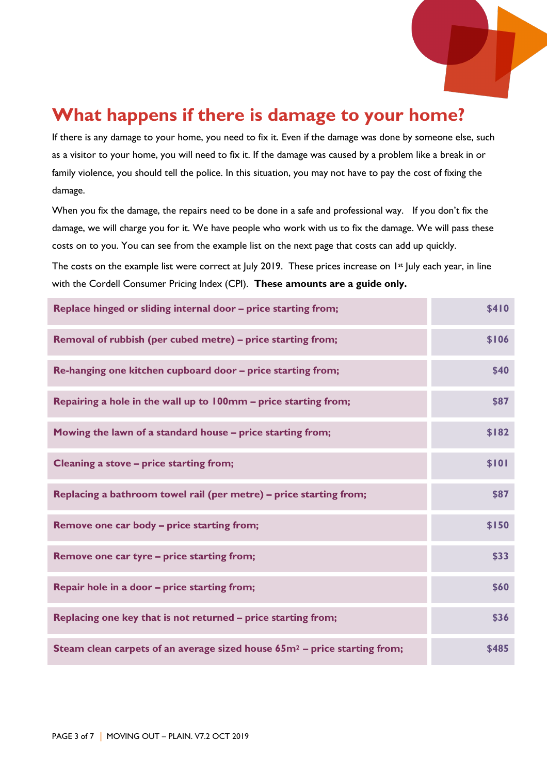

#### **What happens if there is damage to your home?**

If there is any damage to your home, you need to fix it. Even if the damage was done by someone else, such as a visitor to your home, you will need to fix it. If the damage was caused by a problem like a break in or family violence, you should tell the police. In this situation, you may not have to pay the cost of fixing the damage.

When you fix the damage, the repairs need to be done in a safe and professional way. If you don't fix the damage, we will charge you for it. We have people who work with us to fix the damage. We will pass these costs on to you. You can see from the example list on the next page that costs can add up quickly.

The costs on the example list were correct at July 2019. These prices increase on 1<sup>st</sup> July each year, in line with the Cordell Consumer Pricing Index (CPI). **These amounts are a guide only.**

| Replace hinged or sliding internal door – price starting from;               | \$410 |
|------------------------------------------------------------------------------|-------|
| Removal of rubbish (per cubed metre) - price starting from;                  | \$106 |
| Re-hanging one kitchen cupboard door - price starting from;                  | \$40  |
| Repairing a hole in the wall up to 100mm - price starting from;              | \$87  |
| Mowing the lawn of a standard house - price starting from;                   | \$182 |
| Cleaning a stove - price starting from;                                      | \$101 |
| Replacing a bathroom towel rail (per metre) - price starting from;           | \$87  |
| <b>Remove one car body – price starting from;</b>                            | \$150 |
| Remove one car tyre - price starting from;                                   | \$33  |
| Repair hole in a door - price starting from;                                 | \$60  |
| Replacing one key that is not returned - price starting from;                | \$36  |
| Steam clean carpets of an average sized house $65m^2$ – price starting from; | \$485 |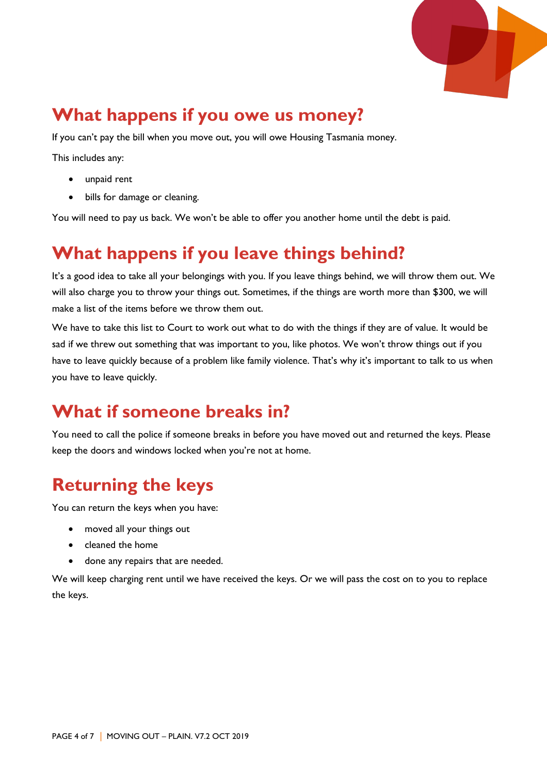

### **What happens if you owe us money?**

If you can't pay the bill when you move out, you will owe Housing Tasmania money.

This includes any:

- unpaid rent
- bills for damage or cleaning.

You will need to pay us back. We won't be able to offer you another home until the debt is paid.

#### **What happens if you leave things behind?**

It's a good idea to take all your belongings with you. If you leave things behind, we will throw them out. We will also charge you to throw your things out. Sometimes, if the things are worth more than \$300, we will make a list of the items before we throw them out.

We have to take this list to Court to work out what to do with the things if they are of value. It would be sad if we threw out something that was important to you, like photos. We won't throw things out if you have to leave quickly because of a problem like family violence. That's why it's important to talk to us when you have to leave quickly.

#### **What if someone breaks in?**

You need to call the police if someone breaks in before you have moved out and returned the keys. Please keep the doors and windows locked when you're not at home.

### **Returning the keys**

You can return the keys when you have:

- moved all your things out
- cleaned the home
- done any repairs that are needed.

We will keep charging rent until we have received the keys. Or we will pass the cost on to you to replace the keys.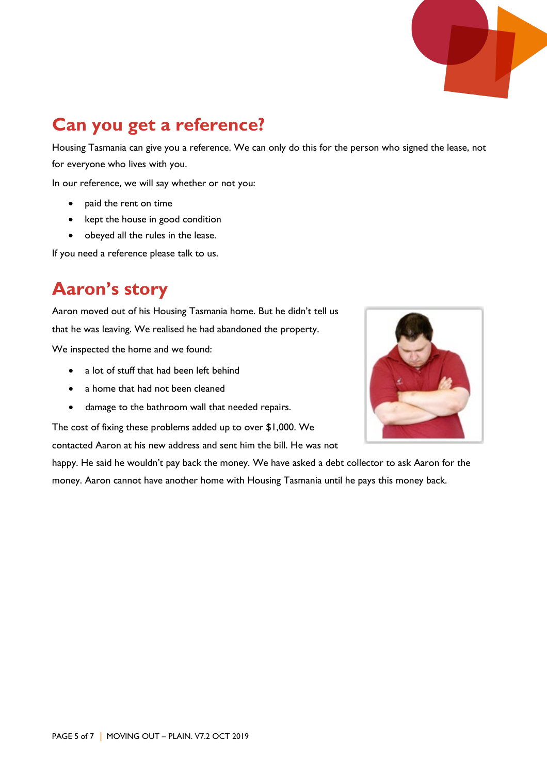# **Can you get a reference?**

Housing Tasmania can give you a reference. We can only do this for the person who signed the lease, not for everyone who lives with you.

In our reference, we will say whether or not you:

- paid the rent on time
- kept the house in good condition
- obeyed all the rules in the lease.

If you need a reference please talk to us.

#### **Aaron's story**

Aaron moved out of his Housing Tasmania home. But he didn't tell us that he was leaving. We realised he had abandoned the property.

We inspected the home and we found:

- a lot of stuff that had been left behind
- a home that had not been cleaned
- damage to the bathroom wall that needed repairs.

The cost of fixing these problems added up to over \$1,000. We

contacted Aaron at his new address and sent him the bill. He was not

happy. He said he wouldn't pay back the money. We have asked a debt collector to ask Aaron for the money. Aaron cannot have another home with Housing Tasmania until he pays this money back.

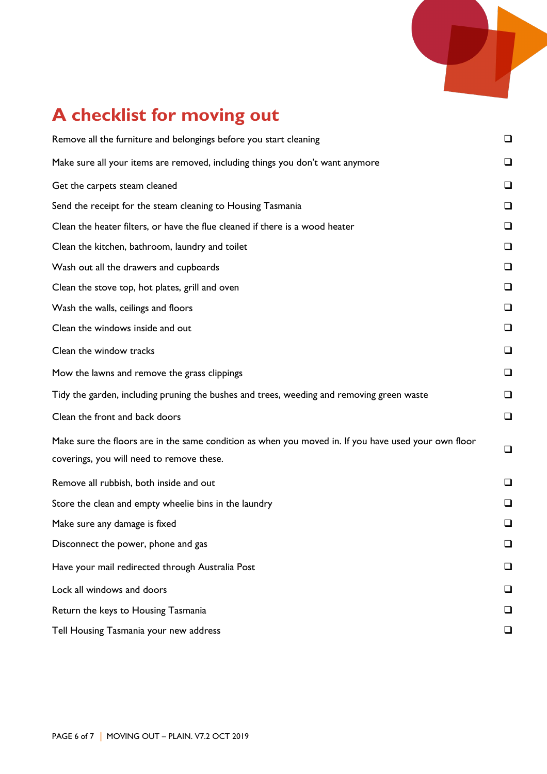

# **A checklist for moving out**

| Remove all the furniture and belongings before you start cleaning                                                                                 | $\Box$ |
|---------------------------------------------------------------------------------------------------------------------------------------------------|--------|
| Make sure all your items are removed, including things you don't want anymore                                                                     | □      |
| Get the carpets steam cleaned                                                                                                                     | □      |
| Send the receipt for the steam cleaning to Housing Tasmania                                                                                       | $\Box$ |
| Clean the heater filters, or have the flue cleaned if there is a wood heater                                                                      | ❏      |
| Clean the kitchen, bathroom, laundry and toilet                                                                                                   | ⊔      |
| Wash out all the drawers and cupboards                                                                                                            | ப      |
| Clean the stove top, hot plates, grill and oven                                                                                                   | ❏      |
| Wash the walls, ceilings and floors                                                                                                               | □      |
| Clean the windows inside and out                                                                                                                  | $\Box$ |
| Clean the window tracks                                                                                                                           | □      |
| Mow the lawns and remove the grass clippings                                                                                                      | □      |
| Tidy the garden, including pruning the bushes and trees, weeding and removing green waste                                                         | ❏      |
| Clean the front and back doors                                                                                                                    | $\Box$ |
| Make sure the floors are in the same condition as when you moved in. If you have used your own floor<br>coverings, you will need to remove these. | $\Box$ |
| Remove all rubbish, both inside and out                                                                                                           | ❏      |
| Store the clean and empty wheelie bins in the laundry                                                                                             | ❏      |
| Make sure any damage is fixed                                                                                                                     | □      |
| Disconnect the power, phone and gas                                                                                                               | $\Box$ |
| Have your mail redirected through Australia Post                                                                                                  | ❏      |
| Lock all windows and doors                                                                                                                        | ப      |
| Return the keys to Housing Tasmania                                                                                                               | ப      |
| Tell Housing Tasmania your new address                                                                                                            | ❏      |